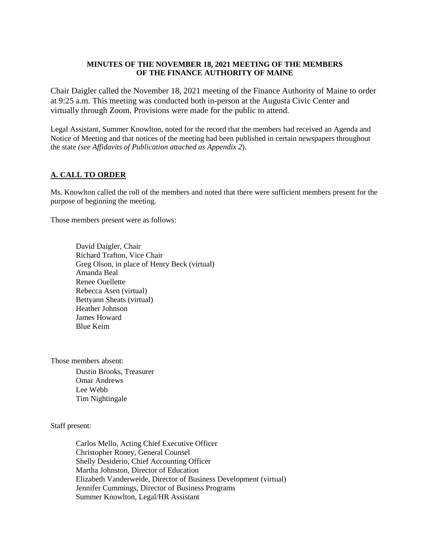#### **MINUTES OF THE NOVEMBER 18, 2021 MEETING OF THE MEMBERS OF THE FINANCE AUTHORITY OF MAINE**

Chair Daigler called the November 18, 2021 meeting of the Finance Authority of Maine to order at 9:25 a.m. This meeting was conducted both in-person at the Augusta Civic Center and virtually through Zoom. Provisions were made for the public to attend.

Legal Assistant, Summer Knowlton, noted for the record that the members had received an Agenda and Notice of Meeting and that notices of the meeting had been published in certain newspapers throughout the state *(see Affidavits of Publication attached as Appendix 2*).

## **A. CALL TO ORDER**

Ms. Knowlton called the roll of the members and noted that there were sufficient members present for the purpose of beginning the meeting.

Those members present were as follows:

David Daigler, Chair Richard Trafton, Vice Chair Greg Olson, in place of Henry Beck (virtual) Amanda Beal Renee Ouellette Rebecca Asen (virtual) Bettyann Sheats (virtual) Heather Johnson James Howard Blue Keim

Those members absent:

Dustin Brooks, Treasurer Omar Andrews Lee Webb Tim Nightingale

#### Staff present:

Carlos Mello, Acting Chief Executive Officer Christopher Roney, General Counsel Shelly Desiderio, Chief Accounting Officer Martha Johnston, Director of Education Elizabeth Vanderweide, Director of Business Development (virtual) Jennifer Cummings, Director of Business Programs Summer Knowlton, Legal/HR Assistant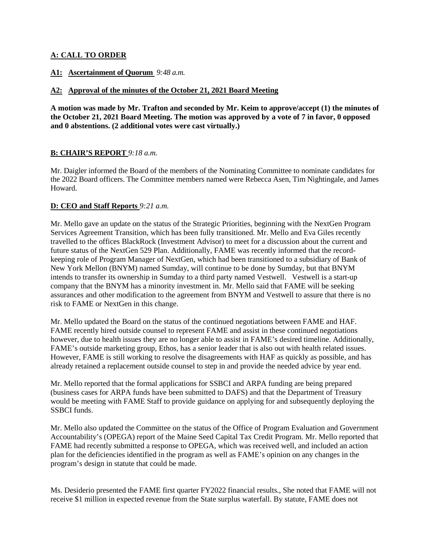## **A: CALL TO ORDER**

## **A1: Ascertainment of Quorum** *9:48 a.m.*

## **A2: Approval of the minutes of the October 21, 2021 Board Meeting**

**A motion was made by Mr. Trafton and seconded by Mr. Keim to approve/accept (1) the minutes of the October 21, 2021 Board Meeting. The motion was approved by a vote of 7 in favor, 0 opposed and 0 abstentions. (2 additional votes were cast virtually.)** 

## **B: CHAIR'S REPORT** *9:18 a.m.*

Mr. Daigler informed the Board of the members of the Nominating Committee to nominate candidates for the 2022 Board officers. The Committee members named were Rebecca Asen, Tim Nightingale, and James Howard.

#### **D: CEO and Staff Reports** *9:21 a.m.*

Mr. Mello gave an update on the status of the Strategic Priorities, beginning with the NextGen Program Services Agreement Transition, which has been fully transitioned. Mr. Mello and Eva Giles recently travelled to the offices BlackRock (Investment Advisor) to meet for a discussion about the current and future status of the NextGen 529 Plan. Additionally, FAME was recently informed that the recordkeeping role of Program Manager of NextGen, which had been transitioned to a subsidiary of Bank of New York Mellon (BNYM) named Sumday, will continue to be done by Sumday, but that BNYM intends to transfer its ownership in Sumday to a third party named Vestwell. Vestwell is a start-up company that the BNYM has a minority investment in. Mr. Mello said that FAME will be seeking assurances and other modification to the agreement from BNYM and Vestwell to assure that there is no risk to FAME or NextGen in this change.

Mr. Mello updated the Board on the status of the continued negotiations between FAME and HAF. FAME recently hired outside counsel to represent FAME and assist in these continued negotiations however, due to health issues they are no longer able to assist in FAME's desired timeline. Additionally, FAME's outside marketing group, Ethos, has a senior leader that is also out with health related issues. However, FAME is still working to resolve the disagreements with HAF as quickly as possible, and has already retained a replacement outside counsel to step in and provide the needed advice by year end.

Mr. Mello reported that the formal applications for SSBCI and ARPA funding are being prepared (business cases for ARPA funds have been submitted to DAFS) and that the Department of Treasury would be meeting with FAME Staff to provide guidance on applying for and subsequently deploying the SSBCI funds.

Mr. Mello also updated the Committee on the status of the Office of Program Evaluation and Government Accountability's (OPEGA) report of the Maine Seed Capital Tax Credit Program. Mr. Mello reported that FAME had recently submitted a response to OPEGA, which was received well, and included an action plan for the deficiencies identified in the program as well as FAME's opinion on any changes in the program's design in statute that could be made.

Ms. Desiderio presented the FAME first quarter FY2022 financial results., She noted that FAME will not receive \$1 million in expected revenue from the State surplus waterfall. By statute, FAME does not